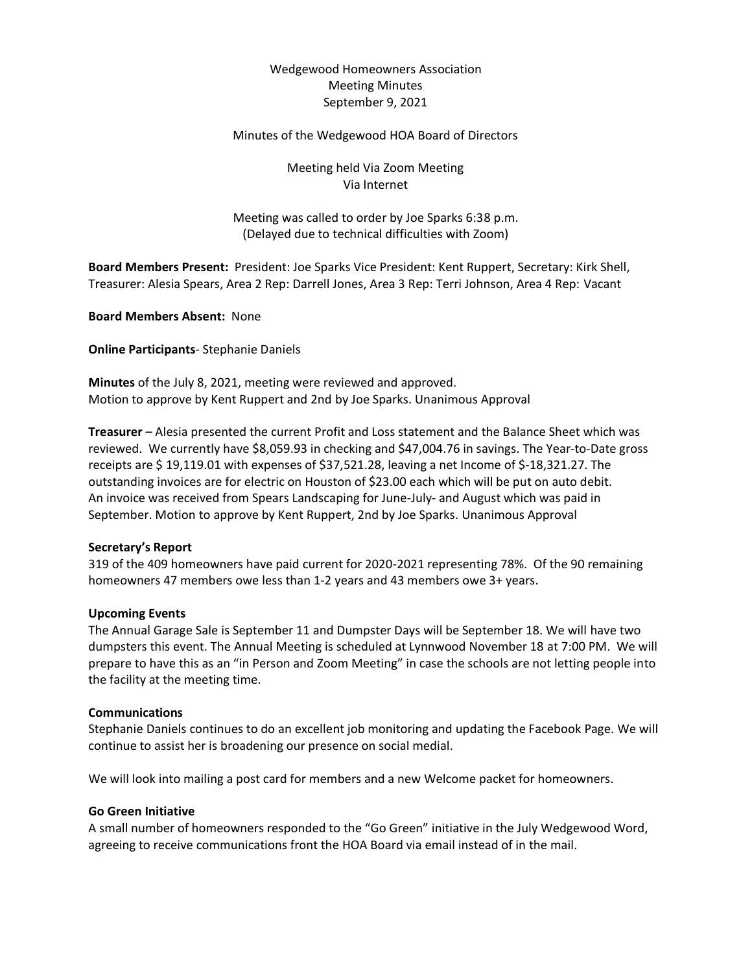# Wedgewood Homeowners Association Meeting Minutes September 9, 2021

#### Minutes of the Wedgewood HOA Board of Directors

Meeting held Via Zoom Meeting Via Internet

Meeting was called to order by Joe Sparks 6:38 p.m. (Delayed due to technical difficulties with Zoom)

**Board Members Present:** President: Joe Sparks Vice President: Kent Ruppert, Secretary: Kirk Shell, Treasurer: Alesia Spears, Area 2 Rep: Darrell Jones, Area 3 Rep: Terri Johnson, Area 4 Rep: Vacant

**Board Members Absent:** None

**Online Participants**- Stephanie Daniels

**Minutes** of the July 8, 2021, meeting were reviewed and approved. Motion to approve by Kent Ruppert and 2nd by Joe Sparks. Unanimous Approval

**Treasurer** – Alesia presented the current Profit and Loss statement and the Balance Sheet which was reviewed. We currently have \$8,059.93 in checking and \$47,004.76 in savings. The Year-to-Date gross receipts are \$ 19,119.01 with expenses of \$37,521.28, leaving a net Income of \$-18,321.27. The outstanding invoices are for electric on Houston of \$23.00 each which will be put on auto debit. An invoice was received from Spears Landscaping for June-July- and August which was paid in September. Motion to approve by Kent Ruppert, 2nd by Joe Sparks. Unanimous Approval

## **Secretary's Report**

319 of the 409 homeowners have paid current for 2020-2021 representing 78%. Of the 90 remaining homeowners 47 members owe less than 1-2 years and 43 members owe 3+ years.

#### **Upcoming Events**

The Annual Garage Sale is September 11 and Dumpster Days will be September 18. We will have two dumpsters this event. The Annual Meeting is scheduled at Lynnwood November 18 at 7:00 PM. We will prepare to have this as an "in Person and Zoom Meeting" in case the schools are not letting people into the facility at the meeting time.

## **Communications**

Stephanie Daniels continues to do an excellent job monitoring and updating the Facebook Page. We will continue to assist her is broadening our presence on social medial.

We will look into mailing a post card for members and a new Welcome packet for homeowners.

#### **Go Green Initiative**

A small number of homeowners responded to the "Go Green" initiative in the July Wedgewood Word, agreeing to receive communications front the HOA Board via email instead of in the mail.